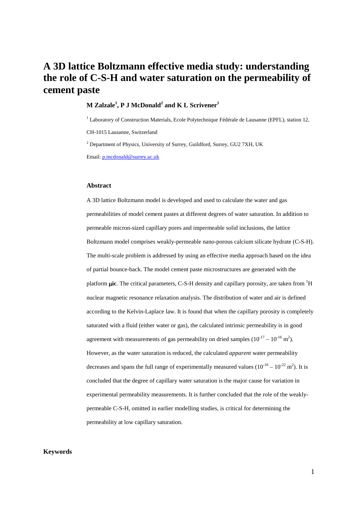# **A 3D lattice Boltzmann effective media study: understanding the role of C-S-H and water saturation on the permeability of cement paste**

# **M Zalzale<sup>1</sup> , P J McDonald2 and K L Scrivener<sup>1</sup>**

<sup>1</sup> Laboratory of Construction Materials, Ecole Polytechnique Fédérale de Lausanne (EPFL), station 12, CH-1015 Lausanne, Switzerland

 $2$  Department of Physics, University of Surrey, Guildford, Surrey, GU2 7XH, UK

Email: [p.mcdonald@surrey.ac.uk](mailto:p.mcdonald@surrey.ac.uk)

#### **Abstract**

A 3D lattice Boltzmann model is developed and used to calculate the water and gas permeabilities of model cement pastes at different degrees of water saturation. In addition to permeable micron-sized capillary pores and impermeable solid inclusions, the lattice Boltzmann model comprises weakly-permeable nano-porous calcium silicate hydrate (C-S-H). The multi-scale problem is addressed by using an effective media approach based on the idea of partial bounce-back. The model cement paste microstructures are generated with the platform *uic*. The critical parameters, C-S-H density and capillary porosity, are taken from <sup>1</sup>H nuclear magnetic resonance relaxation analysis. The distribution of water and air is defined according to the Kelvin-Laplace law. It is found that when the capillary porosity is completely saturated with a fluid (either water or gas), the calculated intrinsic permeability is in good agreement with measurements of gas permeability on dried samples  $(10^{-17} - 10^{-16} \text{ m}^2)$ . However, as the water saturation is reduced, the calculated *apparent* water permeability decreases and spans the full range of experimentally measured values  $(10^{-16} - 10^{-22} \text{ m}^2)$ . It is concluded that the degree of capillary water saturation is the major cause for variation in experimental permeability measurements. It is further concluded that the role of the weaklypermeable C-S-H, omitted in earlier modelling studies, is critical for determining the permeability at low capillary saturation.

## **Keywords**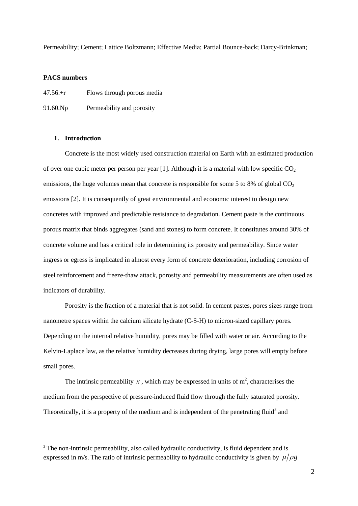Permeability; Cement; Lattice Boltzmann; Effective Media; Partial Bounce-back; Darcy-Brinkman;

# **PACS numbers**

-

| $47.56+r$ | Flows through porous media |  |  |  |
|-----------|----------------------------|--|--|--|
| 91.60.Np  | Permeability and porosity  |  |  |  |

# **1. Introduction**

Concrete is the most widely used construction material on Earth with an estimated production of over one cubic meter per person per year  $[1]$ . Although it is a material with low specific CO<sub>2</sub> emissions, the huge volumes mean that concrete is responsible for some 5 to 8% of global  $CO<sub>2</sub>$ emissions [\[2\]](#page-22-1). It is consequently of great environmental and economic interest to design new concretes with improved and predictable resistance to degradation. Cement paste is the continuous porous matrix that binds aggregates (sand and stones) to form concrete. It constitutes around 30% of concrete volume and has a critical role in determining its porosity and permeability. Since water ingress or egress is implicated in almost every form of concrete deterioration, including corrosion of steel reinforcement and freeze-thaw attack, porosity and permeability measurements are often used as indicators of durability.

Porosity is the fraction of a material that is not solid. In cement pastes, pores sizes range from nanometre spaces within the calcium silicate hydrate (C-S-H) to micron-sized capillary pores. Depending on the internal relative humidity, pores may be filled with water or air. According to the Kelvin-Laplace law, as the relative humidity decreases during drying, large pores will empty before small pores.

The intrinsic permeability  $\kappa$ , which may be expressed in units of m<sup>2</sup>, characterises the medium from the perspective of pressure-induced fluid flow through the fully saturated porosity. Theoretically, it is a property of the medium and is independent of the penetrating fluid<sup>[3](#page-1-0)</sup> and

<span id="page-1-0"></span><sup>&</sup>lt;sup>3</sup> The non-intrinsic permeability, also called hydraulic conductivity, is fluid dependent and is expressed in m/s. The ratio of intrinsic permeability to hydraulic conductivity is given by  $\mu/\rho g$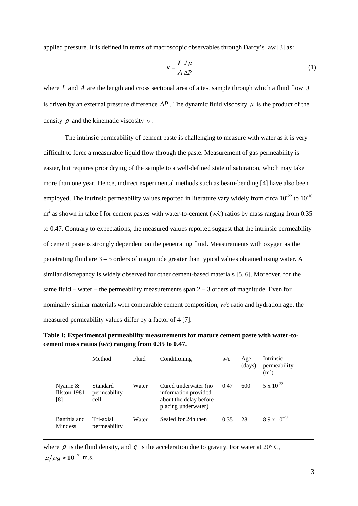applied pressure. It is defined in terms of macroscopic observables through Darcy's law [\[3\]](#page-22-2) as:

$$
\kappa = \frac{L}{A} \frac{J\mu}{\Delta P} \tag{1}
$$

where *L* and *A* are the length and cross sectional area of a test sample through which a fluid flow *J* is driven by an external pressure difference  $\Delta P$ . The dynamic fluid viscosity  $\mu$  is the product of the density  $\rho$  and the kinematic viscosity  $\nu$ .

The intrinsic permeability of cement paste is challenging to measure with water as it is very difficult to force a measurable liquid flow through the paste. Measurement of gas permeability is easier, but requires prior drying of the sample to a well-defined state of saturation, which may take more than one year. Hence, indirect experimental methods such as beam-bending [\[4\]](#page-22-3) have also been employed. The intrinsic permeability values reported in literature vary widely from circa  $10^{-22}$  to  $10^{-16}$  $m<sup>2</sup>$  as shown in table I for cement pastes with water-to-cement ( $w/c$ ) ratios by mass ranging from 0.35 to 0.47. Contrary to expectations, the measured values reported suggest that the intrinsic permeability of cement paste is strongly dependent on the penetrating fluid. Measurements with oxygen as the penetrating fluid are 3 – 5 orders of magnitude greater than typical values obtained using water. A similar discrepancy is widely observed for other cement-based materials [\[5,](#page-23-0) [6\]](#page-23-1). Moreover, for the same fluid – water – the permeability measurements span  $2 - 3$  orders of magnitude. Even for nominally similar materials with comparable cement composition, *w/c* ratio and hydration age, the measured permeability values differ by a factor of 4 [\[7\]](#page-23-2).

**Table I: Experimental permeability measurements for mature cement paste with water-tocement mass ratios (***w/c***) ranging from 0.35 to 0.47.**

|                                   | Method                           | Fluid | Conditioning                                                                                  | w/c  | Age<br>(days) | Intrinsic<br>permeability<br>(m <sup>2</sup> ) |
|-----------------------------------|----------------------------------|-------|-----------------------------------------------------------------------------------------------|------|---------------|------------------------------------------------|
| Nyame $\&$<br>Illston 1981<br>[8] | Standard<br>permeability<br>cell | Water | Cured underwater (no<br>information provided<br>about the delay before<br>placing underwater) | 0.47 | 600           | $5 \times 10^{-22}$                            |
| Banthia and<br>Mindess            | Tri-axial<br>permeability        | Water | Sealed for 24h then                                                                           | 0.35 | 28            | $8.9 \times 10^{-20}$                          |

where  $\rho$  is the fluid density, and *g* is the acceleration due to gravity. For water at 20 $^{\circ}$  C,  $\mu/\rho g \approx 10^{-7}$  m.s.

-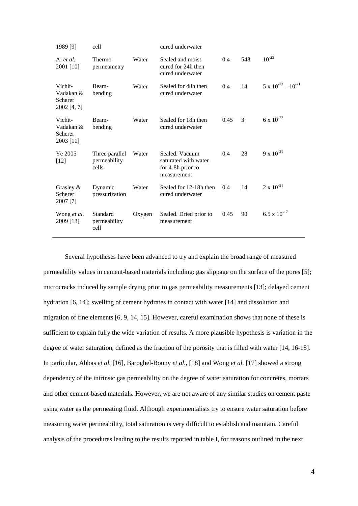| 548<br>Sealed and moist<br>0.4<br>Ai et al.<br>Thermo-<br>Water<br>2001 [10]<br>cured for 24h then<br>permeametry<br>cured underwater<br>14<br>0.4<br>Vichit-<br>Water<br>Sealed for 48h then<br>Beam- | $10^{-22}$<br>$5 \times 10^{-22} - 10^{-21}$ |
|--------------------------------------------------------------------------------------------------------------------------------------------------------------------------------------------------------|----------------------------------------------|
|                                                                                                                                                                                                        |                                              |
| cured underwater<br>Vadakan &<br>bending<br>Scherer<br>2002 [4, 7]                                                                                                                                     |                                              |
| 3<br>0.45<br>Vichit-<br>Water<br>Sealed for 18h then<br>Beam-<br>cured underwater<br>Vadakan &<br>bending<br>Scherer<br>2003 [11]                                                                      | 6 x $10^{-22}$                               |
| 28<br>Ye 2005<br>Sealed. Vacuum<br>0.4<br>Three parallel<br>Water<br>permeability<br>saturated with water<br>$[12]$<br>cells<br>for 4-8h prior to<br>measurement                                       | $9 \times 10^{-21}$                          |
| Sealed for 12-18h then<br>Grasley $\&$<br>Dynamic<br>14<br>0.4<br>Water<br>Scherer<br>pressurization<br>cured underwater<br>2007 [7]                                                                   | $2 \times 10^{-21}$                          |
| 90<br>Standard<br>0.45<br>Wong et al.<br>Sealed. Dried prior to<br>Oxygen<br>2009 [13]<br>permeability<br>measurement<br>cell                                                                          | $6.5 \times 10^{-17}$                        |

Several hypotheses have been advanced to try and explain the broad range of measured permeability values in cement-based materials including: gas slippage on the surface of the pores [\[5\]](#page-23-0); microcracks induced by sample drying prior to gas permeability measurements [\[13\]](#page-23-8); delayed cement hydration [\[6,](#page-23-1) [14\]](#page-23-9); swelling of cement hydrates in contact with water [\[14\]](#page-23-9) and dissolution and migration of fine elements [\[6,](#page-23-1) [9,](#page-23-4) [14,](#page-23-9) [15\]](#page-23-10). However, careful examination shows that none of these is sufficient to explain fully the wide variation of results. A more plausible hypothesis is variation in the degree of water saturation, defined as the fraction of the porosity that is filled with water [\[14,](#page-23-9) [16-18\]](#page-23-11). In particular, Abbas *et al.* [\[16\]](#page-23-11), Baroghel-Bouny *et al.*, [\[18\]](#page-24-0) and Wong *et al.* [\[17\]](#page-23-12) showed a strong dependency of the intrinsic gas permeability on the degree of water saturation for concretes, mortars and other cement-based materials. However, we are not aware of any similar studies on cement paste using water as the permeating fluid. Although experimentalists try to ensure water saturation before measuring water permeability, total saturation is very difficult to establish and maintain. Careful analysis of the procedures leading to the results reported in table I, for reasons outlined in the next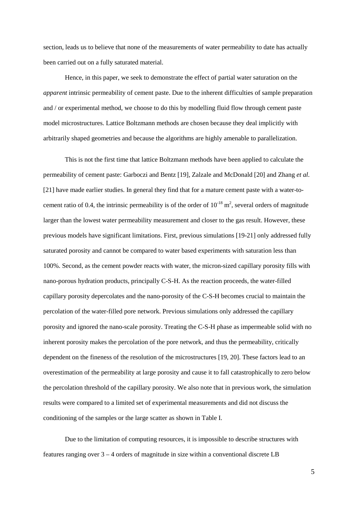section, leads us to believe that none of the measurements of water permeability to date has actually been carried out on a fully saturated material.

Hence, in this paper, we seek to demonstrate the effect of partial water saturation on the *apparent* intrinsic permeability of cement paste. Due to the inherent difficulties of sample preparation and / or experimental method, we choose to do this by modelling fluid flow through cement paste model microstructures. Lattice Boltzmann methods are chosen because they deal implicitly with arbitrarily shaped geometries and because the algorithms are highly amenable to parallelization.

This is not the first time that lattice Boltzmann methods have been applied to calculate the permeability of cement paste: Garboczi and Bentz [\[19\]](#page-24-1), Zalzale and McDonald [\[20\]](#page-24-2) and Zhang *et al.* [\[21\]](#page-24-3) have made earlier studies. In general they find that for a mature cement paste with a water-tocement ratio of 0.4, the intrinsic permeability is of the order of  $10^{-18}$  m<sup>2</sup>, several orders of magnitude larger than the lowest water permeability measurement and closer to the gas result. However, these previous models have significant limitations. First, previous simulations [\[19-21\]](#page-24-1) only addressed fully saturated porosity and cannot be compared to water based experiments with saturation less than 100%. Second, as the cement powder reacts with water, the micron-sized capillary porosity fills with nano-porous hydration products, principally C-S-H. As the reaction proceeds, the water-filled capillary porosity depercolates and the nano-porosity of the C-S-H becomes crucial to maintain the percolation of the water-filled pore network. Previous simulations only addressed the capillary porosity and ignored the nano-scale porosity. Treating the C-S-H phase as impermeable solid with no inherent porosity makes the percolation of the pore network, and thus the permeability, critically dependent on the fineness of the resolution of the microstructures [\[19,](#page-24-1) [20\]](#page-24-2). These factors lead to an overestimation of the permeability at large porosity and cause it to fall catastrophically to zero below the percolation threshold of the capillary porosity. We also note that in previous work, the simulation results were compared to a limited set of experimental measurements and did not discuss the conditioning of the samples or the large scatter as shown in Table I.

Due to the limitation of computing resources, it is impossible to describe structures with features ranging over 3 – 4 orders of magnitude in size within a conventional discrete LB

5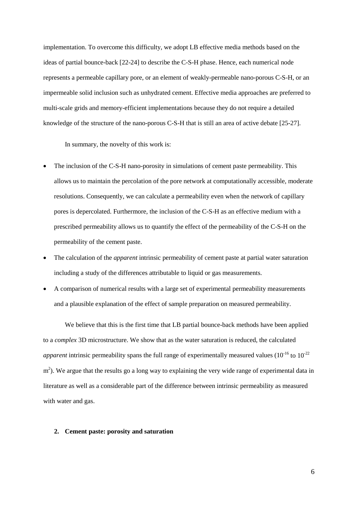implementation. To overcome this difficulty, we adopt LB effective media methods based on the ideas of partial bounce-back [\[22-24\]](#page-24-4) to describe the C-S-H phase. Hence, each numerical node represents a permeable capillary pore, or an element of weakly-permeable nano-porous C-S-H, or an impermeable solid inclusion such as unhydrated cement. Effective media approaches are preferred to multi-scale grids and memory-efficient implementations because they do not require a detailed knowledge of the structure of the nano-porous C-S-H that is still an area of active debate [\[25-27\]](#page-24-5).

In summary, the novelty of this work is:

- The inclusion of the C-S-H nano-porosity in simulations of cement paste permeability. This allows us to maintain the percolation of the pore network at computationally accessible, moderate resolutions. Consequently, we can calculate a permeability even when the network of capillary pores is depercolated. Furthermore, the inclusion of the C-S-H as an effective medium with a prescribed permeability allows us to quantify the effect of the permeability of the C-S-H on the permeability of the cement paste.
- The calculation of the *apparent* intrinsic permeability of cement paste at partial water saturation including a study of the differences attributable to liquid or gas measurements.
- A comparison of numerical results with a large set of experimental permeability measurements and a plausible explanation of the effect of sample preparation on measured permeability.

We believe that this is the first time that LB partial bounce-back methods have been applied to a *complex* 3D microstructure. We show that as the water saturation is reduced, the calculated *apparent* intrinsic permeability spans the full range of experimentally measured values  $(10^{-16}$  to  $10^{-22}$  $m<sup>2</sup>$ ). We argue that the results go a long way to explaining the very wide range of experimental data in literature as well as a considerable part of the difference between intrinsic permeability as measured with water and gas.

### **2. Cement paste: porosity and saturation**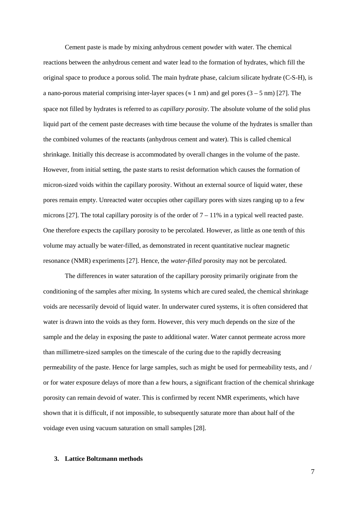Cement paste is made by mixing anhydrous cement powder with water. The chemical reactions between the anhydrous cement and water lead to the formation of hydrates, which fill the original space to produce a porous solid. The main hydrate phase, calcium silicate hydrate (C-S-H), is a nano-porous material comprising inter-layer spaces ( $\approx 1$  nm) and gel pores (3 – 5 nm) [\[27\]](#page-24-6). The space not filled by hydrates is referred to as *capillary porosity*. The absolute volume of the solid plus liquid part of the cement paste decreases with time because the volume of the hydrates is smaller than the combined volumes of the reactants (anhydrous cement and water). This is called chemical shrinkage. Initially this decrease is accommodated by overall changes in the volume of the paste. However, from initial setting, the paste starts to resist deformation which causes the formation of micron-sized voids within the capillary porosity. Without an external source of liquid water, these pores remain empty. Unreacted water occupies other capillary pores with sizes ranging up to a few microns [\[27\]](#page-24-6). The total capillary porosity is of the order of  $7 - 11\%$  in a typical well reacted paste. One therefore expects the capillary porosity to be percolated. However, as little as one tenth of this volume may actually be water-filled, as demonstrated in recent quantitative nuclear magnetic resonance (NMR) experiments [\[27\]](#page-24-6). Hence, the *water-filled* porosity may not be percolated.

The differences in water saturation of the capillary porosity primarily originate from the conditioning of the samples after mixing. In systems which are cured sealed, the chemical shrinkage voids are necessarily devoid of liquid water. In underwater cured systems, it is often considered that water is drawn into the voids as they form. However, this very much depends on the size of the sample and the delay in exposing the paste to additional water. Water cannot permeate across more than millimetre-sized samples on the timescale of the curing due to the rapidly decreasing permeability of the paste. Hence for large samples, such as might be used for permeability tests, and / or for water exposure delays of more than a few hours, a significant fraction of the chemical shrinkage porosity can remain devoid of water. This is confirmed by recent NMR experiments, which have shown that it is difficult, if not impossible, to subsequently saturate more than about half of the voidage even using vacuum saturation on small samples [\[28\]](#page-24-7).

#### **3. Lattice Boltzmann methods**

7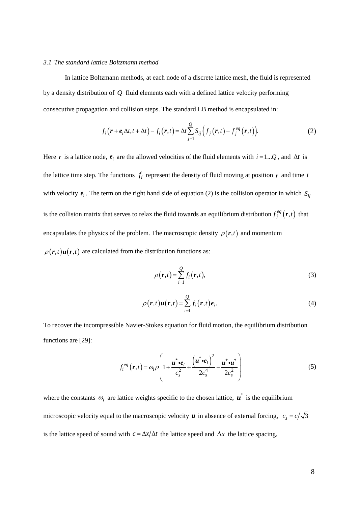#### *3.1 The standard lattice Boltzmann method*

In lattice Boltzmann methods, at each node of a discrete lattice mesh, the fluid is represented by a density distribution of *Q* fluid elements each with a defined lattice velocity performing consecutive propagation and collision steps. The standard LB method is encapsulated in:

$$
f_i\big(\boldsymbol{r}+\boldsymbol{e}_i\Delta t, t+\Delta t\big)-f_i\big(\boldsymbol{r}, t\big)=\Delta t\sum_{j=1}^{\mathcal{Q}}S_{ij}\Big(f_j\big(\boldsymbol{r}, t\big)-f_j^{eq}\big(\boldsymbol{r}, t\big)\Big). \hspace{1.5cm} (2)
$$

Here *r* is a lattice node,  $e_i$  are the allowed velocities of the fluid elements with  $i = 1...Q$ , and  $\Delta t$  is the lattice time step. The functions  $f_i$  represent the density of fluid moving at position  $r$  and time  $t$ with velocity  $e_i$ . The term on the right hand side of equation (2) is the collision operator in which  $S_{ij}$ is the collision matrix that serves to relax the fluid towards an equilibrium distribution  $f_j^{eq}(r,t)$  that encapsulates the physics of the problem. The macroscopic density  $\rho(\mathbf{r},t)$  and momentum  $\rho(\mathbf{r},t)\mathbf{u}(\mathbf{r},t)$  are calculated from the distribution functions as:

$$
\rho(r,t) = \sum_{i=1}^{Q} f_i(r,t),\tag{3}
$$

$$
\rho(\mathbf{r},t)\mathbf{u}(\mathbf{r},t) = \sum_{i=1}^{Q} f_i(\mathbf{r},t)\mathbf{e}_i.
$$
\n(4)

To recover the incompressible Navier-Stokes equation for fluid motion, the equilibrium distribution functions are [\[29\]](#page-24-8):

$$
f_i^{eq}(\boldsymbol{r},t) = \omega_i \rho \left( 1 + \frac{\boldsymbol{u}^* \boldsymbol{\cdot} \boldsymbol{e}_i}{c_s^2} + \frac{(\boldsymbol{u}^* \boldsymbol{\cdot} \boldsymbol{e}_i)^2}{2c_s^4} - \frac{\boldsymbol{u}^* \boldsymbol{\cdot} \boldsymbol{u}^*}{2c_s^2} \right)
$$
(5)

where the constants  $\omega_i$  are lattice weights specific to the chosen lattice,  $\mathbf{u}^*$  is the equilibrium microscopic velocity equal to the macroscopic velocity *u* in absence of external forcing,  $c_s = c/\sqrt{3}$ is the lattice speed of sound with  $c = \frac{\Delta x}{\Delta t}$  the lattice speed and  $\Delta x$  the lattice spacing.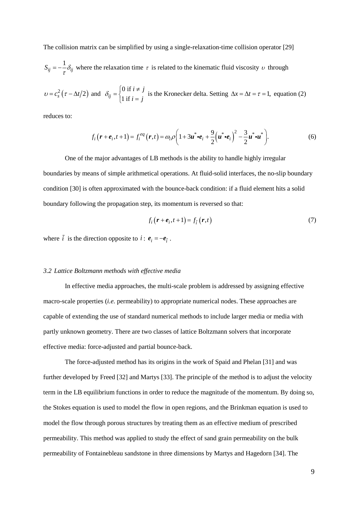The collision matrix can be simplified by using a single-relaxation-time collision operator [\[29\]](#page-24-8)

 $S_{ij} = -\frac{1}{\tau} \delta_{ij}$  where the relaxation time  $\tau$  is related to the kinematic fluid viscosity  $\nu$  through

 $v = c_s^2 (\tau - \Delta t/2)$  and  $\delta_{ij} = \begin{cases} 0 \text{ if } \\ 1 \text{ if } i \end{cases}$  $\int u^{ij}$  | 1 if  $i \neq j$  $\delta_{ij} = \begin{cases} 0 \text{ if } i \neq j \\ 1 \text{ if } i = j \end{cases}$  $\begin{cases} 0 & \text{if } i \neq j \\ 1 & \text{if } i = j \end{cases}$  is the Kronecker delta. Setting  $\Delta x = \Delta t = \tau = 1$ , equation (2)

reduces to:

$$
f_i\big(\mathbf{r}+\mathbf{e}_i,t+1\big)=f_i^{eq}\big(\mathbf{r},t\big)=\omega_i\rho\bigg(1+3\mathbf{u}^*\cdot\mathbf{e}_i+\frac{9}{2}\big(\mathbf{u}^*\cdot\mathbf{e}_i\big)^2-\frac{3}{2}\mathbf{u}^*\cdot\mathbf{u}^*\bigg). \hspace{1cm} (6)
$$

One of the major advantages of LB methods is the ability to handle highly irregular boundaries by means of simple arithmetical operations. At fluid-solid interfaces, the no-slip boundary condition [\[30\]](#page-25-0) is often approximated with the bounce-back condition: if a fluid element hits a solid boundary following the propagation step, its momentum is reversed so that:

$$
f_i\big(\mathbf{r} + \mathbf{e}_i, t + 1\big) = f_{\tilde{i}}\big(\mathbf{r}, t\big) \tag{7}
$$

where  $\tilde{i}$  is the direction opposite to  $i : e_i = -e_{\tilde{i}}$ .

#### *3.2 Lattice Boltzmann methods with effective media*

In effective media approaches, the multi-scale problem is addressed by assigning effective macro-scale properties (*i.e.* permeability) to appropriate numerical nodes. These approaches are capable of extending the use of standard numerical methods to include larger media or media with partly unknown geometry. There are two classes of lattice Boltzmann solvers that incorporate effective media: force-adjusted and partial bounce-back.

The force-adjusted method has its origins in the work of Spaid and Phelan [\[31\]](#page-25-1) and was further developed by Freed [\[32\]](#page-25-2) and Martys [\[33\]](#page-25-3). The principle of the method is to adjust the velocity term in the LB equilibrium functions in order to reduce the magnitude of the momentum. By doing so, the Stokes equation is used to model the flow in open regions, and the Brinkman equation is used to model the flow through porous structures by treating them as an effective medium of prescribed permeability. This method was applied to study the effect of sand grain permeability on the bulk permeability of Fontainebleau sandstone in three dimensions by Martys and Hagedorn [\[34\]](#page-25-4). The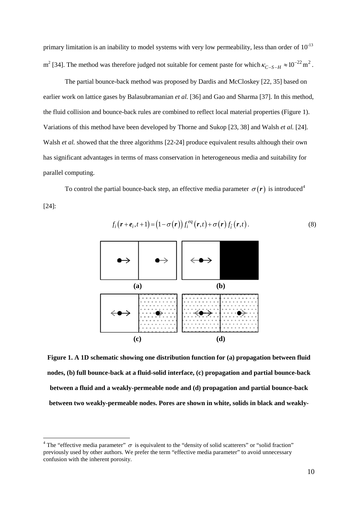primary limitation is an inability to model systems with very low permeability, less than order of  $10^{-13}$ m<sup>2</sup> [\[34\]](#page-25-4). The method was therefore judged not suitable for cement paste for which  $\kappa_{C-S-H} \approx 10^{-22}$  m<sup>2</sup>.

The partial bounce-back method was proposed by Dardis and McCloskey [\[22,](#page-24-4) [35\]](#page-25-5) based on earlier work on lattice gases by Balasubramanian *et al.* [\[36\]](#page-25-6) and Gao and Sharma [\[37\]](#page-25-7). In this method, the fluid collision and bounce-back rules are combined to reflect local material properties (Figure 1). Variations of this method have been developed by Thorne and Sukop [\[23,](#page-24-9) [38\]](#page-25-8) and Walsh *et al.* [\[24\]](#page-24-10). Walsh *et al.* showed that the three algorithms [\[22-24\]](#page-24-4) produce equivalent results although their own has significant advantages in terms of mass conservation in heterogeneous media and suitability for parallel computing.

To control the partial bounce-back step, an effective media parameter  $\sigma(r)$  is introduced<sup>[4](#page-9-0)</sup>

[\[24\]](#page-24-10):

<u>.</u>



$$
f_i\big(\mathbf{r}+\mathbf{e}_i,t+1\big) = \big(1-\sigma(\mathbf{r})\big)f_i^{eq}\big(\mathbf{r},t\big) + \sigma(\mathbf{r})f_{\tilde{i}}\big(\mathbf{r},t\big). \tag{8}
$$

**Figure 1. A 1D schematic showing one distribution function for (a) propagation between fluid nodes, (b) full bounce-back at a fluid-solid interface, (c) propagation and partial bounce-back between a fluid and a weakly-permeable node and (d) propagation and partial bounce-back between two weakly-permeable nodes. Pores are shown in white, solids in black and weakly-**

<span id="page-9-0"></span><sup>&</sup>lt;sup>4</sup> The "effective media parameter"  $\sigma$  is equivalent to the "density of solid scatterers" or "solid fraction" previously used by other authors. We prefer the term "effective media parameter" to avoid unnecessary confusion with the inherent porosity.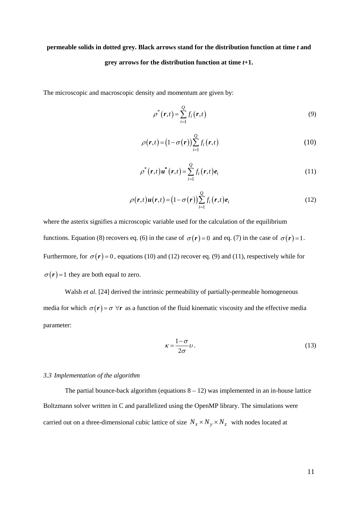# **permeable solids in dotted grey. Black arrows stand for the distribution function at time** *t* **and grey arrows for the distribution function at time** *t***+1.**

The microscopic and macroscopic density and momentum are given by:

$$
\rho^*(\mathbf{r},t) = \sum_{i=1}^{Q} f_i(\mathbf{r},t)
$$
\n(9)

$$
\rho(\mathbf{r},t) = (1 - \sigma(\mathbf{r})) \sum_{i=1}^{Q} f_i(\mathbf{r},t)
$$
\n(10)

$$
\rho^*(\mathbf{r},t)\mathbf{u}^*(\mathbf{r},t) = \sum_{i=1}^{\mathcal{Q}} f_i(\mathbf{r},t)\mathbf{e}_i
$$
\n(11)

$$
\rho(\mathbf{r},t)\mathbf{u}(\mathbf{r},t) = (1 - \sigma(\mathbf{r}))\sum_{i=1}^{Q} f_i(\mathbf{r},t)\mathbf{e}_i
$$
\n(12)

where the asterix signifies a microscopic variable used for the calculation of the equilibrium functions. Equation (8) recovers eq. (6) in the case of  $\sigma(\mathbf{r}) = 0$  and eq. (7) in the case of  $\sigma(\mathbf{r}) = 1$ . Furthermore, for  $\sigma(r) = 0$ , equations (10) and (12) recover eq. (9) and (11), respectively while for  $\sigma(r) = 1$  they are both equal to zero.

Walsh *et al.* [\[24\]](#page-24-10) derived the intrinsic permeability of partially-permeable homogeneous media for which  $\sigma(r) = \sigma \,\forall r$  as a function of the fluid kinematic viscosity and the effective media parameter:

$$
\kappa = \frac{1 - \sigma}{2\sigma} \nu \,. \tag{13}
$$

## *3.3 Implementation of the algorithm*

The partial bounce-back algorithm (equations  $8 - 12$ ) was implemented in an in-house lattice Boltzmann solver written in C and parallelized using the OpenMP library. The simulations were carried out on a three-dimensional cubic lattice of size  $N_x \times N_y \times N_z$  with nodes located at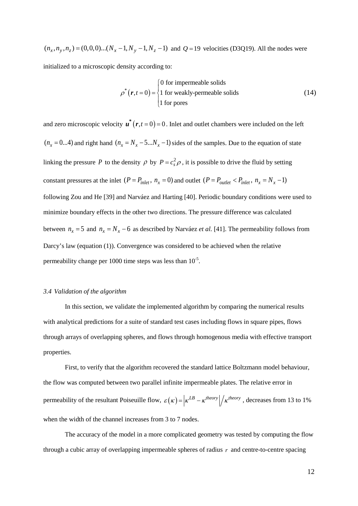$(n_x, n_y, n_z) = (0,0,0)...(N_x - 1, N_y - 1, N_z - 1)$  and  $Q = 19$  velocities (D3Q19). All the nodes were

initialized to a microscopic density according to:

$$
\rho^*(\mathbf{r}, t=0) = \begin{cases} 0 \text{ for impermeable solids} \\ 1 \text{ for weakly-permeable solids} \\ 1 \text{ for pores} \end{cases}
$$
 (14)

and zero microscopic velocity  $\mathbf{u}^*(\mathbf{r},t=0) = 0$ . Inlet and outlet chambers were included on the left  $(n_x = 0...4)$  and right hand  $(n_x = N_x - 5...N_x - 1)$  sides of the samples. Due to the equation of state linking the pressure *P* to the density  $\rho$  by  $P = c_s^2 \rho$ , it is possible to drive the fluid by setting constant pressures at the inlet  $(P = P_{inlet}, n_x = 0)$  and outlet  $(P = P_{outlet} < P_{inlet}, n_x = N_x - 1)$ following Zou and He [\[39\]](#page-25-9) and Narváez and Harting [\[40\]](#page-25-10). Periodic boundary conditions were used to minimize boundary effects in the other two directions. The pressure difference was calculated between  $n_x = 5$  and  $n_x = N_x - 6$  as described by Narváez *et al.* [\[41\]](#page-25-11). The permeability follows from Darcy's law (equation (1)). Convergence was considered to be achieved when the relative permeability change per 1000 time steps was less than  $10^{-5}$ .

### *3.4 Validation of the algorithm*

In this section, we validate the implemented algorithm by comparing the numerical results with analytical predictions for a suite of standard test cases including flows in square pipes, flows through arrays of overlapping spheres, and flows through homogenous media with effective transport properties.

First, to verify that the algorithm recovered the standard lattice Boltzmann model behaviour, the flow was computed between two parallel infinite impermeable plates. The relative error in permeability of the resultant Poiseuille flow,  $\varepsilon(\kappa) = \left| \kappa^{LB} - \kappa^{theory} \right| / \kappa^{theory}$ , decreases from 13 to 1% when the width of the channel increases from 3 to 7 nodes.

The accuracy of the model in a more complicated geometry was tested by computing the flow through a cubic array of overlapping impermeable spheres of radius *r* and centre-to-centre spacing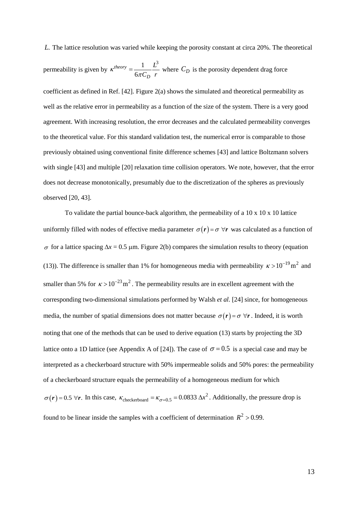*L*. The lattice resolution was varied while keeping the porosity constant at circa 20%. The theoretical

permeability is given by 
$$
\kappa^{theory} = \frac{1}{6\pi C_D} \frac{L^3}{r}
$$
 where  $C_D$  is the porosity dependent drag force

coefficient as defined in Ref.  $[42]$ . Figure 2(a) shows the simulated and theoretical permeability as well as the relative error in permeability as a function of the size of the system. There is a very good agreement. With increasing resolution, the error decreases and the calculated permeability converges to the theoretical value. For this standard validation test, the numerical error is comparable to those previously obtained using conventional finite difference schemes [\[43\]](#page-26-0) and lattice Boltzmann solvers with single [\[43\]](#page-26-0) and multiple [\[20\]](#page-24-2) relaxation time collision operators. We note, however, that the error does not decrease monotonically, presumably due to the discretization of the spheres as previously observed [\[20,](#page-24-2) [43\]](#page-26-0).

To validate the partial bounce-back algorithm, the permeability of a  $10 \times 10 \times 10$  lattice uniformly filled with nodes of effective media parameter  $\sigma(r) = \sigma \,\forall r$  was calculated as a function of <sup>σ</sup> for a lattice spacing ∆*x* = 0.5 µm. Figure 2(b) compares the simulation results to theory (equation (13)). The difference is smaller than 1% for homogeneous media with permeability  $\kappa > 10^{-19}$  m<sup>2</sup> and smaller than 5% for  $\kappa > 10^{-23}$  m<sup>2</sup>. The permeability results are in excellent agreement with the corresponding two-dimensional simulations performed by Walsh *et al.* [\[24\]](#page-24-10) since, for homogeneous media, the number of spatial dimensions does not matter because  $\sigma(r) = \sigma \,\forall r$ . Indeed, it is worth noting that one of the methods that can be used to derive equation (13) starts by projecting the 3D lattice onto a 1D lattice (see Appendix A of [\[24\]](#page-24-10)). The case of  $\sigma = 0.5$  is a special case and may be interpreted as a checkerboard structure with 50% impermeable solids and 50% pores: the permeability of a checkerboard structure equals the permeability of a homogeneous medium for which  $\sigma(r) = 0.5 \,\forall r$ . In this case,  $\kappa_{\text{checkerboard}} = \kappa_{\sigma=0.5} = 0.0833 \,\Delta x^2$ . Additionally, the pressure drop is found to be linear inside the samples with a coefficient of determination  $R^2 > 0.99$ .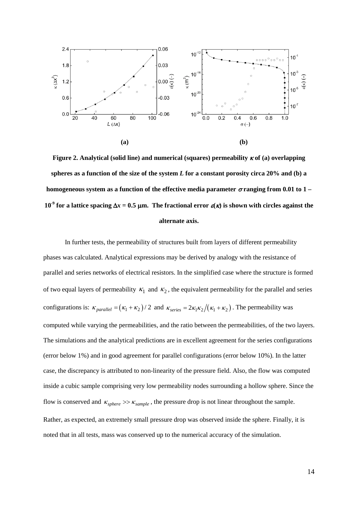

**Figure 2. Analytical (solid line) and numerical (squares) permeability** κ **of (a) overlapping spheres as a function of the size of the system** *L* **for a constant porosity circa 20% and (b) a homogeneous system as a function of the effective media parameter** σ **ranging from 0.01 to 1 – 10-9 for a lattice spacing** ∆*x* **= 0.5** µ**m. The fractional error** ε**(**κ**) is shown with circles against the alternate axis.**

In further tests, the permeability of structures built from layers of different permeability phases was calculated. Analytical expressions may be derived by analogy with the resistance of parallel and series networks of electrical resistors. In the simplified case where the structure is formed of two equal layers of permeability  $\kappa_1$  and  $\kappa_2$ , the equivalent permeability for the parallel and series configurations is:  $\kappa_{parallel} = (\kappa_1 + \kappa_2)/2$  and  $\kappa_{series} = 2\kappa_1 \kappa_2/(\kappa_1 + \kappa_2)$ . The permeability was computed while varying the permeabilities, and the ratio between the permeabilities, of the two layers. The simulations and the analytical predictions are in excellent agreement for the series configurations (error below 1%) and in good agreement for parallel configurations (error below 10%). In the latter case, the discrepancy is attributed to non-linearity of the pressure field. Also, the flow was computed inside a cubic sample comprising very low permeability nodes surrounding a hollow sphere. Since the flow is conserved and  $\kappa_{sphere} \gg \kappa_{sample}$ , the pressure drop is not linear throughout the sample. Rather, as expected, an extremely small pressure drop was observed inside the sphere. Finally, it is noted that in all tests, mass was conserved up to the numerical accuracy of the simulation.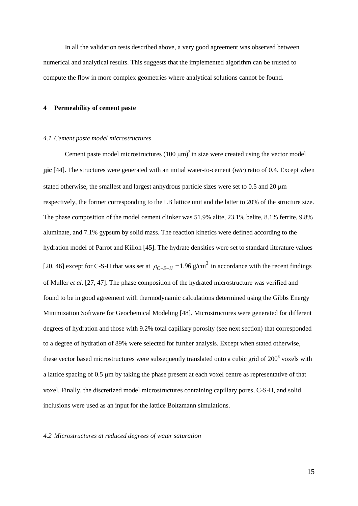In all the validation tests described above, a very good agreement was observed between numerical and analytical results. This suggests that the implemented algorithm can be trusted to compute the flow in more complex geometries where analytical solutions cannot be found.

## **4 Permeability of cement paste**

#### *4.1 Cement paste model microstructures*

Cement paste model microstructures  $(100 \mu m)^3$  in size were created using the vector model µ**ic** [\[44\]](#page-26-1). The structures were generated with an initial water-to-cement (*w/c*) ratio of 0.4. Except when stated otherwise, the smallest and largest anhydrous particle sizes were set to 0.5 and 20  $\mu$ m respectively, the former corresponding to the LB lattice unit and the latter to 20% of the structure size. The phase composition of the model cement clinker was 51.9% alite, 23.1% belite, 8.1% ferrite, 9.8% aluminate, and 7.1% gypsum by solid mass. The reaction kinetics were defined according to the hydration model of Parrot and Killoh [\[45\]](#page-26-2). The hydrate densities were set to standard literature values [\[20,](#page-24-2) [46\]](#page-26-3) except for C-S-H that was set at  $\rho_{C-S-H} = 1.96$  g/cm<sup>3</sup> in accordance with the recent findings of Muller *et al.* [\[27,](#page-24-6) [47\]](#page-26-4). The phase composition of the hydrated microstructure was verified and found to be in good agreement with thermodynamic calculations determined using the Gibbs Energy Minimization Software for Geochemical Modeling [\[48\]](#page-26-5). Microstructures were generated for different degrees of hydration and those with 9.2% total capillary porosity (see next section) that corresponded to a degree of hydration of 89% were selected for further analysis. Except when stated otherwise, these vector based microstructures were subsequently translated onto a cubic grid of  $200<sup>3</sup>$  voxels with a lattice spacing of 0.5 µm by taking the phase present at each voxel centre as representative of that voxel. Finally, the discretized model microstructures containing capillary pores, C-S-H, and solid inclusions were used as an input for the lattice Boltzmann simulations.

## *4.2 Microstructures at reduced degrees of water saturation*

15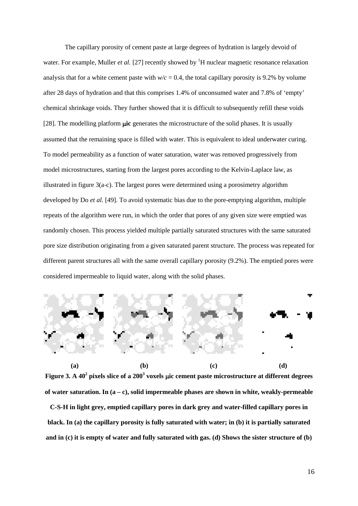The capillary porosity of cement paste at large degrees of hydration is largely devoid of water. For example, Muller *et al.* [\[27\]](#page-24-6) recently showed by <sup>1</sup>H nuclear magnetic resonance relaxation analysis that for a white cement paste with  $w/c = 0.4$ , the total capillary porosity is 9.2% by volume after 28 days of hydration and that this comprises 1.4% of unconsumed water and 7.8% of 'empty' chemical shrinkage voids. They further showed that it is difficult to subsequently refill these voids [\[28\]](#page-24-7). The modelling platform µ**ic** generates the microstructure of the solid phases. It is usually assumed that the remaining space is filled with water. This is equivalent to ideal underwater curing. To model permeability as a function of water saturation, water was removed progressively from model microstructures, starting from the largest pores according to the Kelvin-Laplace law, as illustrated in figure 3(a-c). The largest pores were determined using a porosimetry algorithm developed by Do *et al.* [\[49\]](#page-26-6). To avoid systematic bias due to the pore-emptying algorithm, multiple repeats of the algorithm were run, in which the order that pores of any given size were emptied was randomly chosen. This process yielded multiple partially saturated structures with the same saturated pore size distribution originating from a given saturated parent structure. The process was repeated for different parent structures all with the same overall capillary porosity (9.2%). The emptied pores were considered impermeable to liquid water, along with the solid phases.



**Figure 3. A 40<sup>2</sup> pixels slice of a 200<sup>3</sup> voxels** µ**ic cement paste microstructure at different degrees of water saturation. In (a – c), solid impermeable phases are shown in white, weakly-permeable**

**C-S-H in light grey, emptied capillary pores in dark grey and water-filled capillary pores in black. In (a) the capillary porosity is fully saturated with water; in (b) it is partially saturated and in (c) it is empty of water and fully saturated with gas. (d) Shows the sister structure of (b)**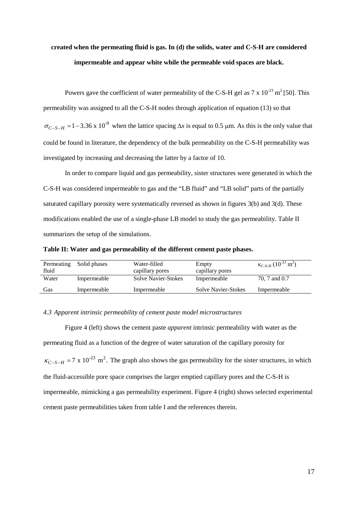# **created when the permeating fluid is gas. In (d) the solids, water and C-S-H are considered impermeable and appear white while the permeable void spaces are black.**

Powers gave the coefficient of water permeability of the C-S-H gel as  $7 \times 10^{-23}$  m<sup>2</sup> [\[50\]](#page-26-7). This permeability was assigned to all the C-S-H nodes through application of equation (13) so that  $\sigma_{C-S-H}$  = 1 – 3.36 x 10<sup>-9</sup> when the lattice spacing  $\Delta x$  is equal to 0.5 µm. As this is the only value that could be found in literature, the dependency of the bulk permeability on the C-S-H permeability was investigated by increasing and decreasing the latter by a factor of 10.

In order to compare liquid and gas permeability, sister structures were generated in which the C-S-H was considered impermeable to gas and the "LB fluid" and "LB solid" parts of the partially saturated capillary porosity were systematically reversed as shown in figures 3(b) and 3(d). These modifications enabled the use of a single-phase LB model to study the gas permeability. Table II summarizes the setup of the simulations.

**Table II: Water and gas permeability of the different cement paste phases.**

| Permeating<br>fluid | Solid phases | Water-filled<br>capillary pores | Empty<br>capillary pores   | $\kappa_{C-S-H}$ (10 <sup>-23</sup> m <sup>2</sup> ) |
|---------------------|--------------|---------------------------------|----------------------------|------------------------------------------------------|
| Water               | Impermeable  | <b>Solve Navier-Stokes</b>      | Impermeable                | 70, 7 and 0.7                                        |
| Gas                 | Impermeable  | Impermeable                     | <b>Solve Navier-Stokes</b> | Impermeable                                          |

## *4.3 Apparent intrinsic permeability of cement paste model microstructures*

Figure 4 (left) shows the cement paste *apparent* intrinsic permeability with water as the permeating fluid as a function of the degree of water saturation of the capillary porosity for  $\kappa_{C-S-H}$  = 7 x 10<sup>-23</sup> m<sup>2</sup>. The graph also shows the gas permeability for the sister structures, in which the fluid-accessible pore space comprises the larger emptied capillary pores and the C-S-H is impermeable, mimicking a gas permeability experiment. Figure 4 (right) shows selected experimental cement paste permeabilities taken from table I and the references therein.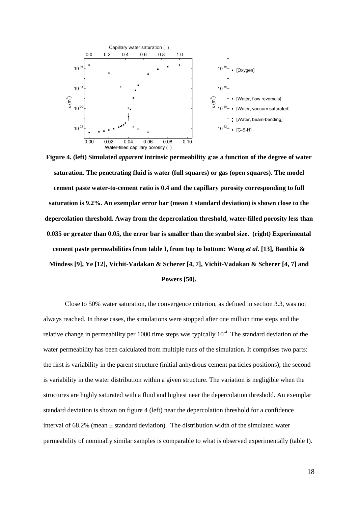

**Figure 4. (left) Simulated** *apparent* **intrinsic permeability** <sup>κ</sup> **as a function of the degree of water saturation. The penetrating fluid is water (full squares) or gas (open squares). The model cement paste water-to-cement ratio is 0.4 and the capillary porosity corresponding to full saturation is 9.2%. An exemplar error bar (mean ± standard deviation) is shown close to the depercolation threshold. Away from the depercolation threshold, water-filled porosity less than 0.035 or greater than 0.05, the error bar is smaller than the symbol size. (right) Experimental cement paste permeabilities from table I, from top to bottom: Wong** *et al.* **[\[13\]](#page-23-8), Banthia & Mindess [\[9\]](#page-23-4), Ye [\[12\]](#page-23-7), Vichit-Vadakan & Scherer [\[4,](#page-22-3) [7\]](#page-23-2), Vichit-Vadakan & Scherer [\[4,](#page-22-3) [7\]](#page-23-2) and Powers [\[50\]](#page-26-7).** 

Close to 50% water saturation, the convergence criterion, as defined in section 3.3, was not always reached. In these cases, the simulations were stopped after one million time steps and the relative change in permeability per 1000 time steps was typically  $10^{-4}$ . The standard deviation of the water permeability has been calculated from multiple runs of the simulation. It comprises two parts: the first is variability in the parent structure (initial anhydrous cement particles positions); the second is variability in the water distribution within a given structure. The variation is negligible when the structures are highly saturated with a fluid and highest near the depercolation threshold. An exemplar standard deviation is shown on figure 4 (left) near the depercolation threshold for a confidence interval of  $68.2\%$  (mean  $\pm$  standard deviation). The distribution width of the simulated water permeability of nominally similar samples is comparable to what is observed experimentally (table I).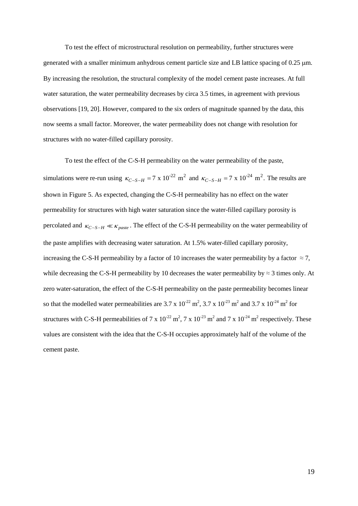To test the effect of microstructural resolution on permeability, further structures were generated with a smaller minimum anhydrous cement particle size and LB lattice spacing of  $0.25 \mu m$ . By increasing the resolution, the structural complexity of the model cement paste increases. At full water saturation, the water permeability decreases by circa 3.5 times, in agreement with previous observations [\[19,](#page-24-1) [20\]](#page-24-2). However, compared to the six orders of magnitude spanned by the data, this now seems a small factor. Moreover, the water permeability does not change with resolution for structures with no water-filled capillary porosity.

To test the effect of the C-S-H permeability on the water permeability of the paste, simulations were re-run using  $\kappa_{C-S-H} = 7 \times 10^{-22}$  m<sup>2</sup> and  $\kappa_{C-S-H} = 7 \times 10^{-24}$  m<sup>2</sup>. The results are shown in Figure 5. As expected, changing the C-S-H permeability has no effect on the water permeability for structures with high water saturation since the water-filled capillary porosity is percolated and  $\kappa_{C-S-H} \ll \kappa_{\text{\}}$ . The effect of the C-S-H permeability on the water permeability of the paste amplifies with decreasing water saturation. At 1.5% water-filled capillary porosity, increasing the C-S-H permeability by a factor of 10 increases the water permeability by a factor  $\approx$  7, while decreasing the C-S-H permeability by 10 decreases the water permeability by  $\approx$  3 times only. At zero water-saturation, the effect of the C-S-H permeability on the paste permeability becomes linear so that the modelled water permeabilities are 3.7 x  $10^{-22}$  m<sup>2</sup>, 3.7 x  $10^{-23}$  m<sup>2</sup> and 3.7 x  $10^{-24}$  m<sup>2</sup> for structures with C-S-H permeabilities of 7 x  $10^{-22}$  m<sup>2</sup>, 7 x  $10^{-23}$  m<sup>2</sup> and 7 x  $10^{-24}$  m<sup>2</sup> respectively. These values are consistent with the idea that the C-S-H occupies approximately half of the volume of the cement paste.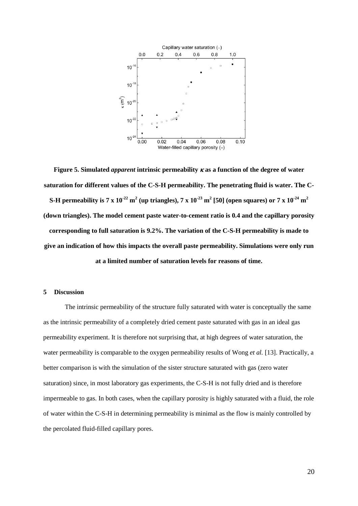

**Figure 5. Simulated** *apparent* **intrinsic permeability** <sup>κ</sup> **as a function of the degree of water saturation for different values of the C-S-H permeability. The penetrating fluid is water. The C-S-H** permeability is 7 x  $10^{-22}$  m<sup>2</sup> (up triangles), 7 x  $10^{-23}$  m<sup>2</sup> [\[50\]](#page-26-7) (open squares) or 7 x  $10^{-24}$  m<sup>2</sup> **(down triangles). The model cement paste water-to-cement ratio is 0.4 and the capillary porosity corresponding to full saturation is 9.2%. The variation of the C-S-H permeability is made to give an indication of how this impacts the overall paste permeability. Simulations were only run at a limited number of saturation levels for reasons of time.**

# **5 Discussion**

The intrinsic permeability of the structure fully saturated with water is conceptually the same as the intrinsic permeability of a completely dried cement paste saturated with gas in an ideal gas permeability experiment. It is therefore not surprising that, at high degrees of water saturation, the water permeability is comparable to the oxygen permeability results of Wong *et al.* [\[13\]](#page-23-8). Practically, a better comparison is with the simulation of the sister structure saturated with gas (zero water saturation) since, in most laboratory gas experiments, the C-S-H is not fully dried and is therefore impermeable to gas. In both cases, when the capillary porosity is highly saturated with a fluid, the role of water within the C-S-H in determining permeability is minimal as the flow is mainly controlled by the percolated fluid-filled capillary pores.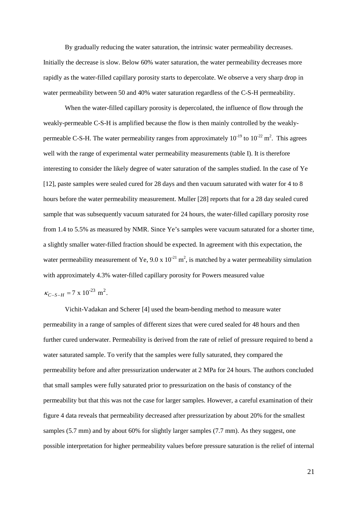By gradually reducing the water saturation, the intrinsic water permeability decreases. Initially the decrease is slow. Below 60% water saturation, the water permeability decreases more rapidly as the water-filled capillary porosity starts to depercolate. We observe a very sharp drop in water permeability between 50 and 40% water saturation regardless of the C-S-H permeability.

When the water-filled capillary porosity is depercolated, the influence of flow through the weakly-permeable C-S-H is amplified because the flow is then mainly controlled by the weaklypermeable C-S-H. The water permeability ranges from approximately  $10^{-19}$  to  $10^{-22}$  m<sup>2</sup>. This agrees well with the range of experimental water permeability measurements (table I). It is therefore interesting to consider the likely degree of water saturation of the samples studied. In the case of Ye [\[12\]](#page-23-7), paste samples were sealed cured for 28 days and then vacuum saturated with water for 4 to 8 hours before the water permeability measurement. Muller [\[28\]](#page-24-7) reports that for a 28 day sealed cured sample that was subsequently vacuum saturated for 24 hours, the water-filled capillary porosity rose from 1.4 to 5.5% as measured by NMR. Since Ye's samples were vacuum saturated for a shorter time, a slightly smaller water-filled fraction should be expected. In agreement with this expectation, the water permeability measurement of Ye,  $9.0 \times 10^{-21}$  m<sup>2</sup>, is matched by a water permeability simulation with approximately 4.3% water-filled capillary porosity for Powers measured value

$$
\kappa_{C-S-H} = 7 \times 10^{-23} \text{ m}^2.
$$

Vichit-Vadakan and Scherer [\[4\]](#page-22-3) used the beam-bending method to measure water permeability in a range of samples of different sizes that were cured sealed for 48 hours and then further cured underwater. Permeability is derived from the rate of relief of pressure required to bend a water saturated sample. To verify that the samples were fully saturated, they compared the permeability before and after pressurization underwater at 2 MPa for 24 hours. The authors concluded that small samples were fully saturated prior to pressurization on the basis of constancy of the permeability but that this was not the case for larger samples. However, a careful examination of their figure 4 data reveals that permeability decreased after pressurization by about 20% for the smallest samples (5.7 mm) and by about 60% for slightly larger samples (7.7 mm). As they suggest, one possible interpretation for higher permeability values before pressure saturation is the relief of internal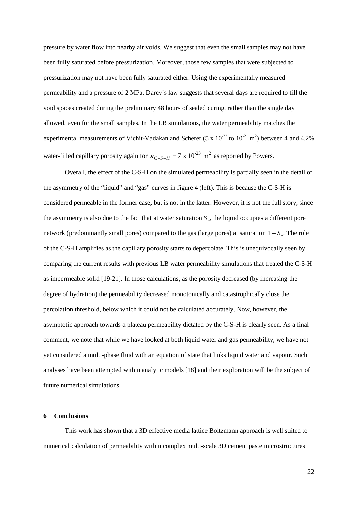pressure by water flow into nearby air voids. We suggest that even the small samples may not have been fully saturated before pressurization. Moreover, those few samples that were subjected to pressurization may not have been fully saturated either. Using the experimentally measured permeability and a pressure of 2 MPa, Darcy's law suggests that several days are required to fill the void spaces created during the preliminary 48 hours of sealed curing, rather than the single day allowed, even for the small samples. In the LB simulations, the water permeability matches the experimental measurements of Vichit-Vadakan and Scherer (5 x  $10^{-22}$  to  $10^{-21}$  m<sup>2</sup>) between 4 and 4.2% water-filled capillary porosity again for  $\kappa_{C-S-H} = 7 \times 10^{-23}$  m<sup>2</sup> as reported by Powers.

Overall, the effect of the C-S-H on the simulated permeability is partially seen in the detail of the asymmetry of the "liquid" and "gas" curves in figure 4 (left). This is because the C-S-H is considered permeable in the former case, but is not in the latter. However, it is not the full story, since the asymmetry is also due to the fact that at water saturation  $S_w$ , the liquid occupies a different pore network (predominantly small pores) compared to the gas (large pores) at saturation  $1 - S_w$ . The role of the C-S-H amplifies as the capillary porosity starts to depercolate. This is unequivocally seen by comparing the current results with previous LB water permeability simulations that treated the C-S-H as impermeable solid [\[19-21\]](#page-24-1). In those calculations, as the porosity decreased (by increasing the degree of hydration) the permeability decreased monotonically and catastrophically close the percolation threshold, below which it could not be calculated accurately. Now, however, the asymptotic approach towards a plateau permeability dictated by the C-S-H is clearly seen. As a final comment, we note that while we have looked at both liquid water and gas permeability, we have not yet considered a multi-phase fluid with an equation of state that links liquid water and vapour. Such analyses have been attempted within analytic models [\[18\]](#page-24-0) and their exploration will be the subject of future numerical simulations.

## **6 Conclusions**

This work has shown that a 3D effective media lattice Boltzmann approach is well suited to numerical calculation of permeability within complex multi-scale 3D cement paste microstructures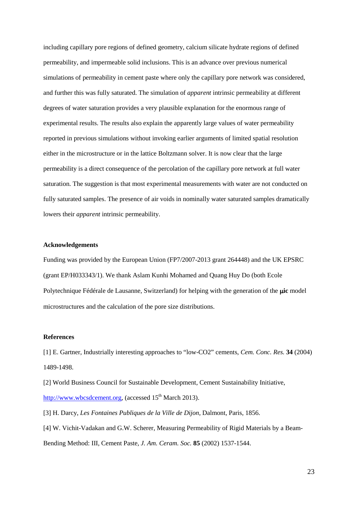including capillary pore regions of defined geometry, calcium silicate hydrate regions of defined permeability, and impermeable solid inclusions. This is an advance over previous numerical simulations of permeability in cement paste where only the capillary pore network was considered, and further this was fully saturated. The simulation of *apparent* intrinsic permeability at different degrees of water saturation provides a very plausible explanation for the enormous range of experimental results. The results also explain the apparently large values of water permeability reported in previous simulations without invoking earlier arguments of limited spatial resolution either in the microstructure or in the lattice Boltzmann solver. It is now clear that the large permeability is a direct consequence of the percolation of the capillary pore network at full water saturation. The suggestion is that most experimental measurements with water are not conducted on fully saturated samples. The presence of air voids in nominally water saturated samples dramatically lowers their *apparent* intrinsic permeability.

## **Acknowledgements**

Funding was provided by the European Union (FP7/2007-2013 grant 264448) and the UK EPSRC (grant EP/H033343/1). We thank Aslam Kunhi Mohamed and Quang Huy Do (both Ecole Polytechnique Fédérale de Lausanne, Switzerland) for helping with the generation of the **µic** model microstructures and the calculation of the pore size distributions.

### **References**

<span id="page-22-0"></span>[1] E. Gartner, Industrially interesting approaches to "low-CO2" cements, *Cem. Conc. Res.* **34** (2004) 1489-1498.

<span id="page-22-1"></span>[2] World Business Council for Sustainable Development, Cement Sustainability Initiative, [http://www.wbcsdcement.org](http://www.wbcsdcement.org/)<sub>,</sub> (accessed 15<sup>th</sup> March 2013).

<span id="page-22-2"></span>[3] H. Darcy, *Les Fontaines Publiques de la Ville de Dijon*, Dalmont, Paris, 1856.

<span id="page-22-3"></span>[4] W. Vichit-Vadakan and G.W. Scherer, Measuring Permeability of Rigid Materials by a Beam-Bending Method: III, Cement Paste, *J. Am. Ceram. Soc.* **85** (2002) 1537-1544.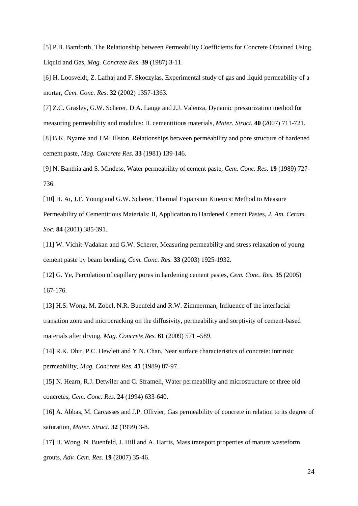<span id="page-23-0"></span>[5] P.B. Bamforth, The Relationship between Permeability Coefficients for Concrete Obtained Using Liquid and Gas, *Mag. Concrete Res.* **39** (1987) 3-11.

<span id="page-23-1"></span>[6] H. Loosveldt, Z. Lafhaj and F. Skoczylas, Experimental study of gas and liquid permeability of a mortar, *Cem. Conc. Res.* **32** (2002) 1357-1363.

<span id="page-23-2"></span>[7] Z.C. Grasley, G.W. Scherer, D.A. Lange and J.J. Valenza, Dynamic pressurization method for measuring permeability and modulus: II. cementitious materials, *Mater. Struct.* **40** (2007) 711-721.

<span id="page-23-3"></span>[8] B.K. Nyame and J.M. Illston, Relationships between permeability and pore structure of hardened cement paste, *Mag. Concrete Res.* **33** (1981) 139-146.

<span id="page-23-4"></span>[9] N. Banthia and S. Mindess, Water permeability of cement paste, *Cem. Conc. Res.* **19** (1989) 727- 736.

<span id="page-23-5"></span>[10] H. Ai, J.F. Young and G.W. Scherer, Thermal Expansion Kinetics: Method to Measure Permeability of Cementitious Materials: II, Application to Hardened Cement Pastes, *J. Am. Ceram. Soc.* **84** (2001) 385-391.

<span id="page-23-6"></span>[11] W. Vichit-Vadakan and G.W. Scherer, Measuring permeability and stress relaxation of young cement paste by beam bending, *Cem. Conc. Res.* **33** (2003) 1925-1932.

<span id="page-23-7"></span>[12] G. Ye, Percolation of capillary pores in hardening cement pastes, *Cem. Conc. Res.* **35** (2005) 167-176.

<span id="page-23-8"></span>[13] H.S. Wong, M. Zobel, N.R. Buenfeld and R.W. Zimmerman, Influence of the interfacial transition zone and microcracking on the diffusivity, permeability and sorptivity of cement-based materials after drying, *Mag. Concrete Res.* **61** (2009) 571 –589.

<span id="page-23-9"></span>[14] R.K. Dhir, P.C. Hewlett and Y.N. Chan, Near surface characteristics of concrete: intrinsic permeability, *Mag. Concrete Res.* **41** (1989) 87-97.

<span id="page-23-10"></span>[15] N. Hearn, R.J. Detwiler and C. Sframeli, Water permeability and microstructure of three old concretes, *Cem. Conc. Res.* **24** (1994) 633-640.

<span id="page-23-11"></span>[16] A. Abbas, M. Carcasses and J.P. Ollivier, Gas permeability of concrete in relation to its degree of saturation, *Mater. Struct.* **32** (1999) 3-8.

<span id="page-23-12"></span>[17] H. Wong, N. Buenfeld, J. Hill and A. Harris, Mass transport properties of mature wasteform grouts, *Adv. Cem. Res.* **19** (2007) 35-46.

24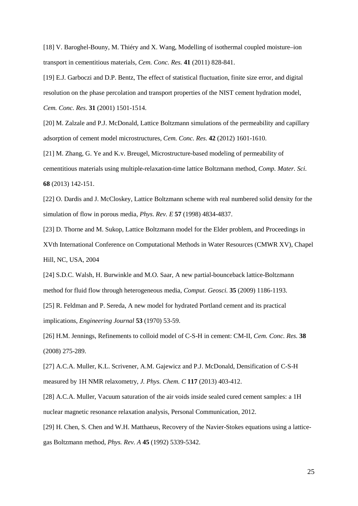<span id="page-24-0"></span>[18] V. Baroghel-Bouny, M. Thiéry and X. Wang, Modelling of isothermal coupled moisture–ion transport in cementitious materials, *Cem. Conc. Res.* **41** (2011) 828-841.

<span id="page-24-1"></span>[19] E.J. Garboczi and D.P. Bentz, The effect of statistical fluctuation, finite size error, and digital resolution on the phase percolation and transport properties of the NIST cement hydration model, *Cem. Conc. Res.* **31** (2001) 1501-1514.

<span id="page-24-2"></span>[20] M. Zalzale and P.J. McDonald, Lattice Boltzmann simulations of the permeability and capillary adsorption of cement model microstructures, *Cem. Conc. Res.* **42** (2012) 1601-1610.

<span id="page-24-3"></span>[21] M. Zhang, G. Ye and K.v. Breugel, Microstructure-based modeling of permeability of cementitious materials using multiple-relaxation-time lattice Boltzmann method, *Comp. Mater. Sci.*  **68** (2013) 142-151.

<span id="page-24-4"></span>[22] O. Dardis and J. McCloskey, Lattice Boltzmann scheme with real numbered solid density for the simulation of flow in porous media, *Phys. Rev. E* **57** (1998) 4834-4837.

<span id="page-24-9"></span>[23] D. Thorne and M. Sukop, Lattice Boltzmann model for the Elder problem, and Proceedings in XVth International Conference on Computational Methods in Water Resources (CMWR XV), Chapel Hill, NC, USA, 2004

<span id="page-24-10"></span>[24] S.D.C. Walsh, H. Burwinkle and M.O. Saar, A new partial-bounceback lattice-Boltzmann method for fluid flow through heterogeneous media, *Comput. Geosci.* **35** (2009) 1186-1193.

<span id="page-24-5"></span>[25] R. Feldman and P. Sereda, A new model for hydrated Portland cement and its practical implications, *Engineering Journal* **53** (1970) 53-59.

[26] H.M. Jennings, Refinements to colloid model of C-S-H in cement: CM-II, *Cem. Conc. Res.* **38**  (2008) 275-289.

<span id="page-24-6"></span>[27] A.C.A. Muller, K.L. Scrivener, A.M. Gajewicz and P.J. McDonald, Densification of C-S-H measured by 1H NMR relaxometry, *J. Phys. Chem. C* **117** (2013) 403-412.

<span id="page-24-7"></span>[28] A.C.A. Muller, Vacuum saturation of the air voids inside sealed cured cement samples: a 1H nuclear magnetic resonance relaxation analysis, Personal Communication, 2012.

<span id="page-24-8"></span>[29] H. Chen, S. Chen and W.H. Matthaeus, Recovery of the Navier-Stokes equations using a latticegas Boltzmann method, *Phys. Rev. A* **45** (1992) 5339-5342.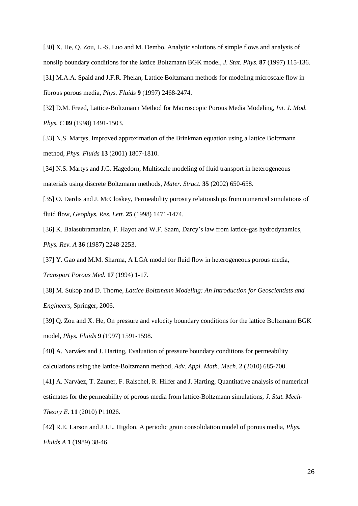<span id="page-25-1"></span><span id="page-25-0"></span>[30] X. He, Q. Zou, L.-S. Luo and M. Dembo, Analytic solutions of simple flows and analysis of nonslip boundary conditions for the lattice Boltzmann BGK model, *J. Stat. Phys.* **87** (1997) 115-136. [31] M.A.A. Spaid and J.F.R. Phelan, Lattice Boltzmann methods for modeling microscale flow in fibrous porous media, *Phys. Fluids* **9** (1997) 2468-2474.

<span id="page-25-2"></span>[32] D.M. Freed, Lattice-Boltzmann Method for Macroscopic Porous Media Modeling, *Int. J. Mod. Phys. C* **09** (1998) 1491-1503.

<span id="page-25-3"></span>[33] N.S. Martys, Improved approximation of the Brinkman equation using a lattice Boltzmann method, *Phys. Fluids* **13** (2001) 1807-1810.

<span id="page-25-4"></span>[34] N.S. Martys and J.G. Hagedorn, Multiscale modeling of fluid transport in heterogeneous materials using discrete Boltzmann methods, *Mater. Struct.* **35** (2002) 650-658.

<span id="page-25-5"></span>[35] O. Dardis and J. McCloskey, Permeability porosity relationships from numerical simulations of fluid flow, *Geophys. Res. Lett.* **25** (1998) 1471-1474.

<span id="page-25-6"></span>[36] K. Balasubramanian, F. Hayot and W.F. Saam, Darcy's law from lattice-gas hydrodynamics, *Phys. Rev. A* **36** (1987) 2248-2253.

<span id="page-25-7"></span>[37] Y. Gao and M.M. Sharma, A LGA model for fluid flow in heterogeneous porous media, *Transport Porous Med.* **17** (1994) 1-17.

<span id="page-25-8"></span>[38] M. Sukop and D. Thorne, *Lattice Boltzmann Modeling: An Introduction for Geoscientists and Engineers*, Springer, 2006.

<span id="page-25-9"></span>[39] Q. Zou and X. He, On pressure and velocity boundary conditions for the lattice Boltzmann BGK model, *Phys. Fluids* **9** (1997) 1591-1598.

<span id="page-25-10"></span>[40] A. Narváez and J. Harting, Evaluation of pressure boundary conditions for permeability calculations using the lattice-Boltzmann method, *Adv. Appl. Math. Mech.* **2** (2010) 685-700.

<span id="page-25-11"></span>[41] A. Narváez, T. Zauner, F. Raischel, R. Hilfer and J. Harting, Quantitative analysis of numerical estimates for the permeability of porous media from lattice-Boltzmann simulations, *J. Stat. Mech-Theory E.* **11** (2010) P11026.

<span id="page-25-12"></span>[42] R.E. Larson and J.J.L. Higdon, A periodic grain consolidation model of porous media, *Phys. Fluids A* **1** (1989) 38-46.